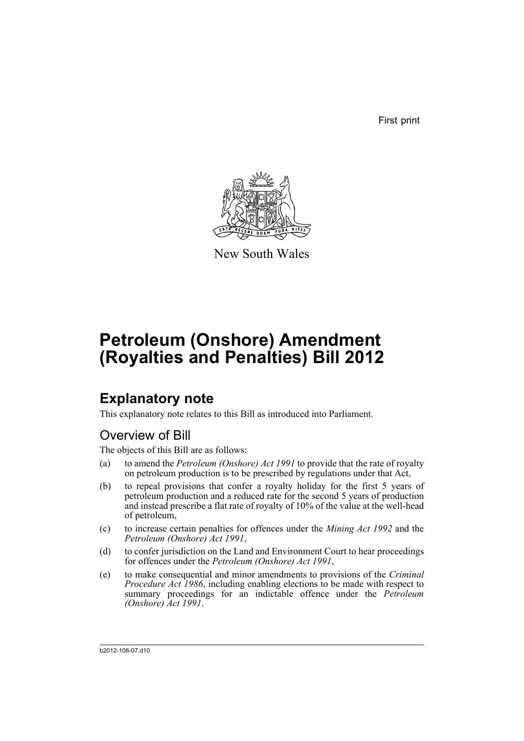First print



New South Wales

# **Petroleum (Onshore) Amendment (Royalties and Penalties) Bill 2012**

## **Explanatory note**

This explanatory note relates to this Bill as introduced into Parliament.

## Overview of Bill

The objects of this Bill are as follows:

- (a) to amend the *Petroleum (Onshore) Act 1991* to provide that the rate of royalty on petroleum production is to be prescribed by regulations under that Act,
- (b) to repeal provisions that confer a royalty holiday for the first 5 years of petroleum production and a reduced rate for the second 5 years of production and instead prescribe a flat rate of royalty of 10% of the value at the well-head of petroleum,
- (c) to increase certain penalties for offences under the *Mining Act 1992* and the *Petroleum (Onshore) Act 1991*,
- (d) to confer jurisdiction on the Land and Environment Court to hear proceedings for offences under the *Petroleum (Onshore) Act 1991*,
- (e) to make consequential and minor amendments to provisions of the *Criminal Procedure Act 1986*, including enabling elections to be made with respect to summary proceedings for an indictable offence under the *Petroleum (Onshore) Act 1991*.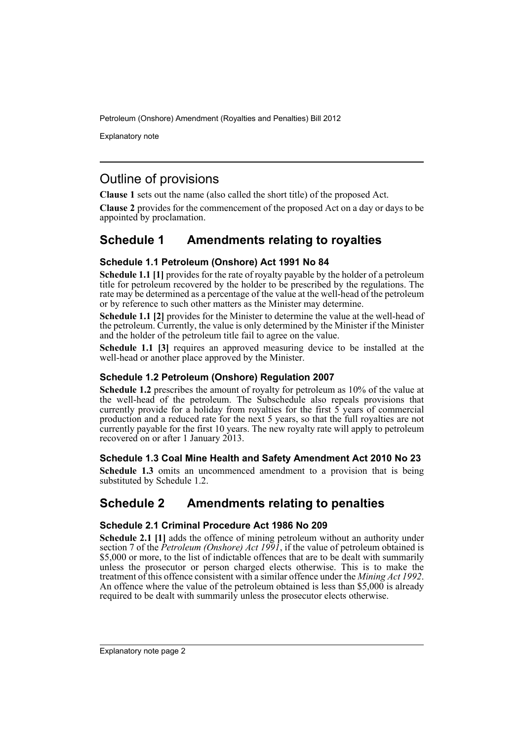Explanatory note

## Outline of provisions

**Clause 1** sets out the name (also called the short title) of the proposed Act.

**Clause 2** provides for the commencement of the proposed Act on a day or days to be appointed by proclamation.

## **Schedule 1 Amendments relating to royalties**

#### **Schedule 1.1 Petroleum (Onshore) Act 1991 No 84**

**Schedule 1.1 [1]** provides for the rate of royalty payable by the holder of a petroleum title for petroleum recovered by the holder to be prescribed by the regulations. The rate may be determined as a percentage of the value at the well-head of the petroleum or by reference to such other matters as the Minister may determine.

**Schedule 1.1 [2]** provides for the Minister to determine the value at the well-head of the petroleum. Currently, the value is only determined by the Minister if the Minister and the holder of the petroleum title fail to agree on the value.

**Schedule 1.1 [3]** requires an approved measuring device to be installed at the well-head or another place approved by the Minister.

#### **Schedule 1.2 Petroleum (Onshore) Regulation 2007**

**Schedule 1.2** prescribes the amount of royalty for petroleum as 10% of the value at the well-head of the petroleum. The Subschedule also repeals provisions that currently provide for a holiday from royalties for the first 5 years of commercial production and a reduced rate for the next 5 years, so that the full royalties are not currently payable for the first 10 years. The new royalty rate will apply to petroleum recovered on or after 1 January 2013.

#### **Schedule 1.3 Coal Mine Health and Safety Amendment Act 2010 No 23**

**Schedule 1.3** omits an uncommenced amendment to a provision that is being substituted by Schedule 1.2.

## **Schedule 2 Amendments relating to penalties**

#### **Schedule 2.1 Criminal Procedure Act 1986 No 209**

**Schedule 2.1 [1]** adds the offence of mining petroleum without an authority under section 7 of the *Petroleum (Onshore) Act 1991*, if the value of petroleum obtained is \$5,000 or more, to the list of indictable offences that are to be dealt with summarily unless the prosecutor or person charged elects otherwise. This is to make the treatment of this offence consistent with a similar offence under the *Mining Act 1992*. An offence where the value of the petroleum obtained is less than  $$5,000$  is already required to be dealt with summarily unless the prosecutor elects otherwise.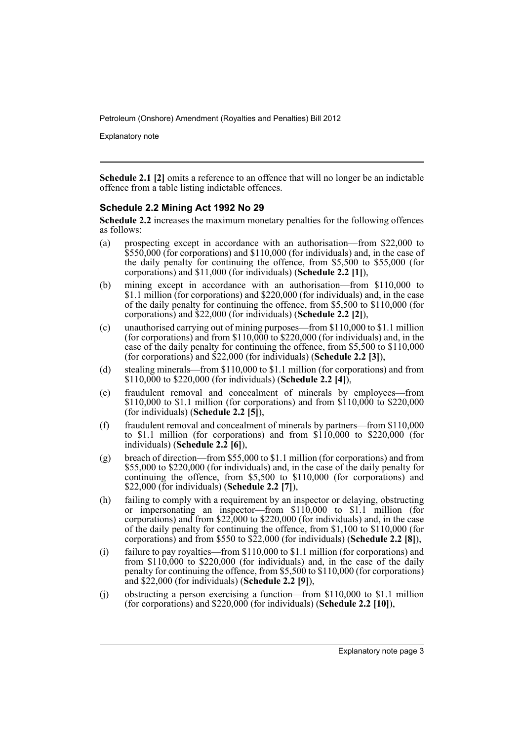Explanatory note

**Schedule 2.1 [2]** omits a reference to an offence that will no longer be an indictable offence from a table listing indictable offences.

#### **Schedule 2.2 Mining Act 1992 No 29**

**Schedule 2.2** increases the maximum monetary penalties for the following offences as follows:

- (a) prospecting except in accordance with an authorisation—from \$22,000 to \$550,000 (for corporations) and \$110,000 (for individuals) and, in the case of the daily penalty for continuing the offence, from \$5,500 to \$55,000 (for corporations) and \$11,000 (for individuals) (**Schedule 2.2 [1]**),
- (b) mining except in accordance with an authorisation—from \$110,000 to \$1.1 million (for corporations) and \$220,000 (for individuals) and, in the case of the daily penalty for continuing the offence, from \$5,500 to \$110,000 (for corporations) and \$22,000 (for individuals) (**Schedule 2.2 [2]**),
- (c) unauthorised carrying out of mining purposes—from \$110,000 to \$1.1 million (for corporations) and from \$110,000 to \$220,000 (for individuals) and, in the case of the daily penalty for continuing the offence, from \$5,500 to \$110,000 (for corporations) and \$22,000 (for individuals) (**Schedule 2.2 [3]**),
- (d) stealing minerals—from \$110,000 to \$1.1 million (for corporations) and from \$110,000 to \$220,000 (for individuals) (**Schedule 2.2 [4]**),
- (e) fraudulent removal and concealment of minerals by employees—from \$110,000 to \$1.1 million (for corporations) and from \$110,000 to \$220,000 (for individuals) (**Schedule 2.2 [5]**),
- (f) fraudulent removal and concealment of minerals by partners—from \$110,000 to \$1.1 million (for corporations) and from  $$110,000$  to \$220,000 (for individuals) (**Schedule 2.2 [6]**),
- (g) breach of direction—from \$55,000 to \$1.1 million (for corporations) and from \$55,000 to \$220,000 (for individuals) and, in the case of the daily penalty for continuing the offence, from \$5,500 to \$110,000 (for corporations) and \$22,000 (for individuals) (**Schedule 2.2 [7]**),
- (h) failing to comply with a requirement by an inspector or delaying, obstructing or impersonating an inspector—from \$110,000 to \$1.1 million (for corporations) and from \$22,000 to \$220,000 (for individuals) and, in the case of the daily penalty for continuing the offence, from \$1,100 to \$110,000 (for corporations) and from \$550 to \$22,000 (for individuals) (**Schedule 2.2 [8]**),
- (i) failure to pay royalties—from \$110,000 to \$1.1 million (for corporations) and from \$110,000 to \$220,000 (for individuals) and, in the case of the daily penalty for continuing the offence, from \$5,500 to \$110,000 (for corporations) and \$22,000 (for individuals) (**Schedule 2.2 [9]**),
- (j) obstructing a person exercising a function—from \$110,000 to \$1.1 million (for corporations) and \$220,000 (for individuals) (**Schedule 2.2 [10]**),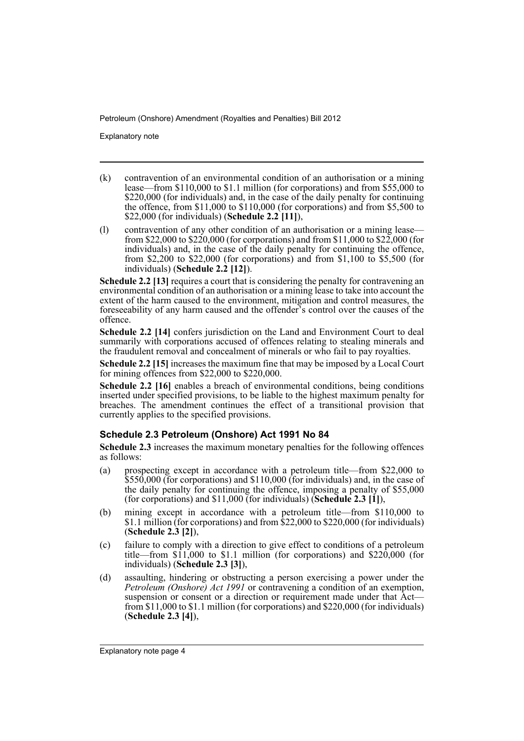Explanatory note

- (k) contravention of an environmental condition of an authorisation or a mining lease—from \$110,000 to \$1.1 million (for corporations) and from \$55,000 to \$220,000 (for individuals) and, in the case of the daily penalty for continuing the offence, from  $$11,000$  to  $$110,000$  (for corporations) and from  $$5,500$  to \$22,000 (for individuals) (**Schedule 2.2 [11]**),
- (l) contravention of any other condition of an authorisation or a mining lease from \$22,000 to \$220,000 (for corporations) and from \$11,000 to \$22,000 (for individuals) and, in the case of the daily penalty for continuing the offence, from \$2,200 to \$22,000 (for corporations) and from \$1,100 to \$5,500 (for individuals) (**Schedule 2.2 [12]**).

**Schedule 2.2 [13]** requires a court that is considering the penalty for contravening an environmental condition of an authorisation or a mining lease to take into account the extent of the harm caused to the environment, mitigation and control measures, the foreseeability of any harm caused and the offender's control over the causes of the offence.

**Schedule 2.2 [14]** confers jurisdiction on the Land and Environment Court to deal summarily with corporations accused of offences relating to stealing minerals and the fraudulent removal and concealment of minerals or who fail to pay royalties.

**Schedule 2.2 [15]** increases the maximum fine that may be imposed by a Local Court for mining offences from \$22,000 to \$220,000.

**Schedule 2.2 [16]** enables a breach of environmental conditions, being conditions inserted under specified provisions, to be liable to the highest maximum penalty for breaches. The amendment continues the effect of a transitional provision that currently applies to the specified provisions.

#### **Schedule 2.3 Petroleum (Onshore) Act 1991 No 84**

**Schedule 2.3** increases the maximum monetary penalties for the following offences as follows:

- (a) prospecting except in accordance with a petroleum title—from \$22,000 to \$550,000 (for corporations) and \$110,000 (for individuals) and, in the case of the daily penalty for continuing the offence, imposing a penalty of \$55,000 (for corporations) and \$11,000 (for individuals) (**Schedule 2.3 [1]**),
- (b) mining except in accordance with a petroleum title—from \$110,000 to \$1.1 million (for corporations) and from \$22,000 to \$220,000 (for individuals) (**Schedule 2.3 [2]**),
- (c) failure to comply with a direction to give effect to conditions of a petroleum title—from  $\frac{\sin 1000}{\cos 11}$  million (for corporations) and  $\frac{\sin 220}{\cos 000}$  (for individuals) (**Schedule 2.3 [3]**),
- (d) assaulting, hindering or obstructing a person exercising a power under the *Petroleum (Onshore) Act 1991* or contravening a condition of an exemption, suspension or consent or a direction or requirement made under that Act from \$11,000 to \$1.1 million (for corporations) and \$220,000 (for individuals) (**Schedule 2.3 [4]**),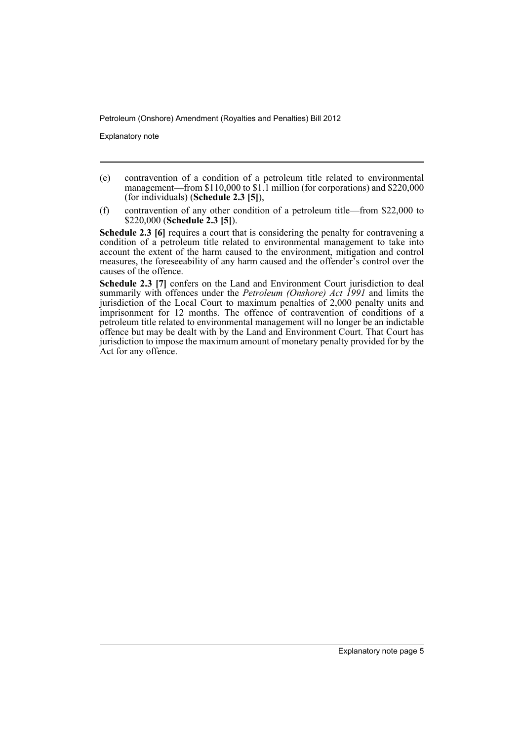Explanatory note

- (e) contravention of a condition of a petroleum title related to environmental management—from \$110,000 to \$1.1 million (for corporations) and \$220,000 (for individuals) (**Schedule 2.3 [5]**),
- (f) contravention of any other condition of a petroleum title—from \$22,000 to \$220,000 (**Schedule 2.3 [5]**).

**Schedule 2.3 [6]** requires a court that is considering the penalty for contravening a condition of a petroleum title related to environmental management to take into account the extent of the harm caused to the environment, mitigation and control measures, the foreseeability of any harm caused and the offender's control over the causes of the offence.

**Schedule 2.3 [7]** confers on the Land and Environment Court jurisdiction to deal summarily with offences under the *Petroleum (Onshore) Act 1991* and limits the jurisdiction of the Local Court to maximum penalties of 2,000 penalty units and imprisonment for 12 months. The offence of contravention of conditions of a petroleum title related to environmental management will no longer be an indictable offence but may be dealt with by the Land and Environment Court. That Court has jurisdiction to impose the maximum amount of monetary penalty provided for by the Act for any offence.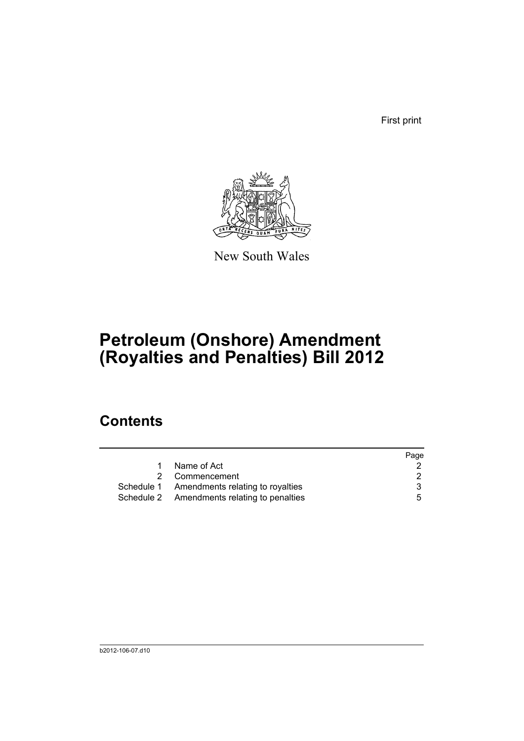First print



New South Wales

# **Petroleum (Onshore) Amendment (Royalties and Penalties) Bill 2012**

## **Contents**

|                                             | Page |
|---------------------------------------------|------|
| Name of Act                                 |      |
| Commencement                                |      |
| Schedule 1 Amendments relating to royalties | 3    |
| Schedule 2 Amendments relating to penalties | 5.   |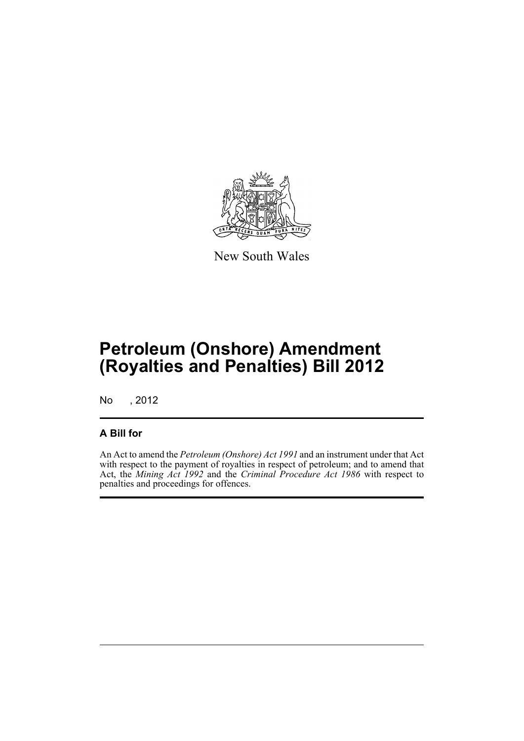

New South Wales

# **Petroleum (Onshore) Amendment (Royalties and Penalties) Bill 2012**

No , 2012

### **A Bill for**

An Act to amend the *Petroleum (Onshore) Act 1991* and an instrument under that Act with respect to the payment of royalties in respect of petroleum; and to amend that Act, the *Mining Act 1992* and the *Criminal Procedure Act 1986* with respect to penalties and proceedings for offences.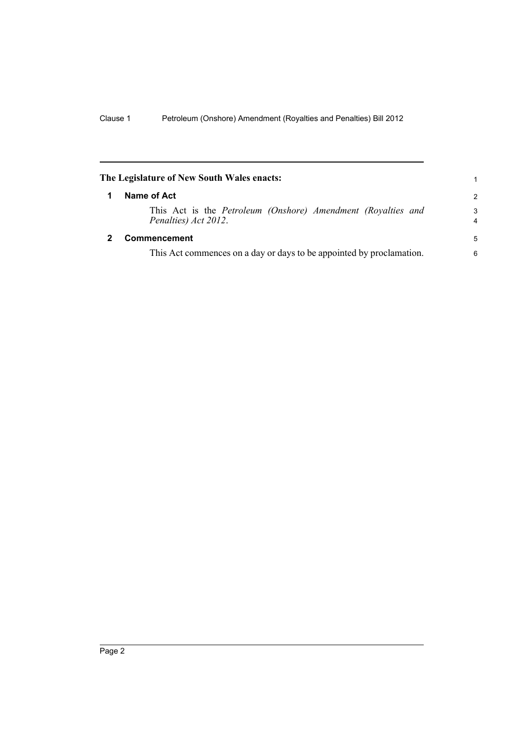<span id="page-9-1"></span><span id="page-9-0"></span>

|   | The Legislature of New South Wales enacts:                                           | 1                   |
|---|--------------------------------------------------------------------------------------|---------------------|
| 1 | Name of Act                                                                          | $\mathcal{P}$       |
|   | This Act is the Petroleum (Onshore) Amendment (Royalties and<br>Penalties) Act 2012. | 3<br>$\overline{4}$ |
|   | <b>Commencement</b>                                                                  | 5                   |
|   | This Act commences on a day or days to be appointed by proclamation.                 | 6                   |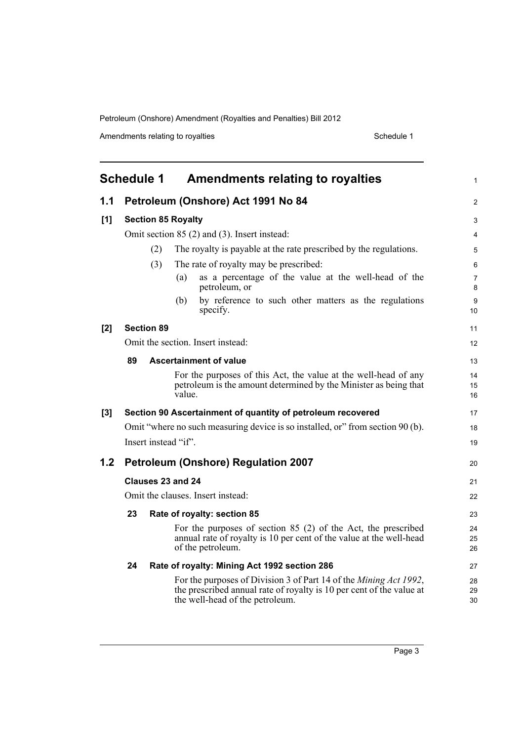Amendments relating to royalties Schedule 1

<span id="page-10-0"></span>

|     |                           | Schedule 1<br>Amendments relating to royalties                                                                                                                                       | 1              |
|-----|---------------------------|--------------------------------------------------------------------------------------------------------------------------------------------------------------------------------------|----------------|
| 1.1 |                           | Petroleum (Onshore) Act 1991 No 84                                                                                                                                                   | $\overline{c}$ |
| [1] | <b>Section 85 Royalty</b> |                                                                                                                                                                                      |                |
|     |                           | Omit section 85 (2) and (3). Insert instead:                                                                                                                                         | 4              |
|     |                           | The royalty is payable at the rate prescribed by the regulations.<br>(2)                                                                                                             | 5              |
|     |                           | (3)<br>The rate of royalty may be prescribed:                                                                                                                                        | 6              |
|     |                           | as a percentage of the value at the well-head of the<br>(a)<br>petroleum, or                                                                                                         | 7<br>8         |
|     |                           | by reference to such other matters as the regulations<br>(b)<br>specify.                                                                                                             | 9<br>10        |
| [2] |                           | <b>Section 89</b>                                                                                                                                                                    | 11             |
|     |                           | Omit the section. Insert instead:                                                                                                                                                    | 12             |
|     | 89                        | Ascertainment of value                                                                                                                                                               | 13             |
|     |                           | For the purposes of this Act, the value at the well-head of any<br>petroleum is the amount determined by the Minister as being that<br>value.                                        | 14<br>15<br>16 |
| [3] |                           | Section 90 Ascertainment of quantity of petroleum recovered                                                                                                                          | 17             |
|     |                           | Omit "where no such measuring device is so installed, or" from section 90 (b).                                                                                                       | 18             |
|     |                           | Insert instead "if".                                                                                                                                                                 | 19             |
| 1.2 |                           | <b>Petroleum (Onshore) Regulation 2007</b>                                                                                                                                           | 20             |
|     |                           | Clauses 23 and 24                                                                                                                                                                    | 21             |
|     |                           | Omit the clauses. Insert instead:                                                                                                                                                    | 22             |
|     | 23                        | Rate of royalty: section 85                                                                                                                                                          | 23             |
|     |                           | For the purposes of section $85$ (2) of the Act, the prescribed<br>annual rate of royalty is 10 per cent of the value at the well-head<br>of the petroleum.                          | 24<br>25<br>26 |
|     | 24                        | Rate of royalty: Mining Act 1992 section 286                                                                                                                                         | 27             |
|     |                           | For the purposes of Division 3 of Part 14 of the <i>Mining Act 1992</i> ,<br>the prescribed annual rate of royalty is 10 per cent of the value at<br>the well-head of the petroleum. | 28<br>29<br>30 |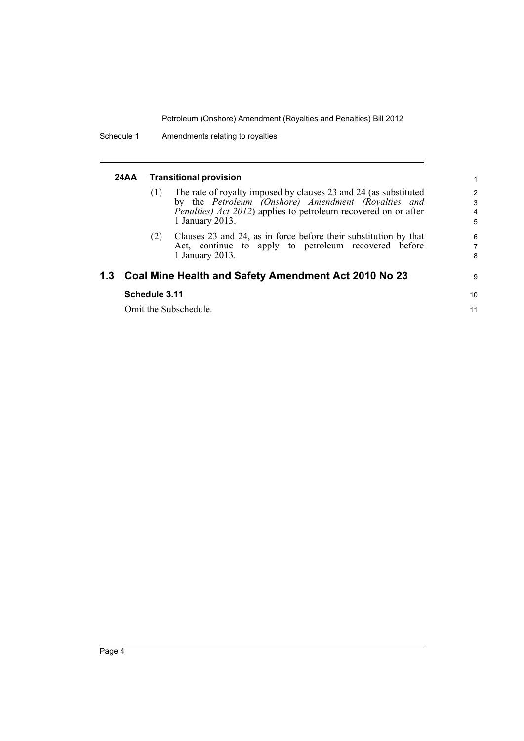| 24AA | <b>Transitional provision</b> |                                                                                                                                                                                                                       |                               |  |
|------|-------------------------------|-----------------------------------------------------------------------------------------------------------------------------------------------------------------------------------------------------------------------|-------------------------------|--|
|      | (1)                           | The rate of royalty imposed by clauses 23 and 24 (as substituted<br>by the Petroleum (Onshore) Amendment (Royalties and<br><i>Penalties) Act 2012</i> ) applies to petroleum recovered on or after<br>1 January 2013. | $\overline{2}$<br>3<br>4<br>5 |  |
|      | (2)                           | Clauses 23 and 24, as in force before their substitution by that<br>Act, continue to apply to petroleum recovered before<br>1 January 2013.                                                                           | 6<br>7<br>8                   |  |
|      |                               | 1.3 Coal Mine Health and Safety Amendment Act 2010 No 23                                                                                                                                                              | 9                             |  |
|      | Schedule 3.11                 |                                                                                                                                                                                                                       | 10                            |  |
|      |                               | Omit the Subschedule.                                                                                                                                                                                                 | 11                            |  |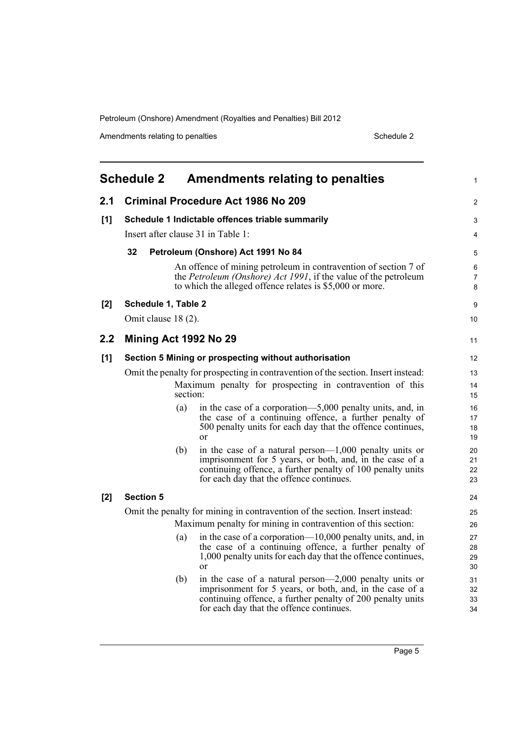<span id="page-12-0"></span>

|     | <b>Schedule 2</b>                                |          | <b>Amendments relating to penalties</b>                                                                                                                                                                                         | 1                    |
|-----|--------------------------------------------------|----------|---------------------------------------------------------------------------------------------------------------------------------------------------------------------------------------------------------------------------------|----------------------|
| 2.1 |                                                  |          | <b>Criminal Procedure Act 1986 No 209</b>                                                                                                                                                                                       | $\overline{2}$       |
| [1] | Schedule 1 Indictable offences triable summarily |          |                                                                                                                                                                                                                                 | 3                    |
|     |                                                  |          | Insert after clause 31 in Table 1:                                                                                                                                                                                              | 4                    |
|     | 32                                               |          | Petroleum (Onshore) Act 1991 No 84                                                                                                                                                                                              | 5                    |
|     |                                                  |          | An offence of mining petroleum in contravention of section 7 of<br>the Petroleum (Onshore) Act 1991, if the value of the petroleum<br>to which the alleged offence relates is \$5,000 or more.                                  | 6<br>7<br>8          |
| [2] | Schedule 1, Table 2                              |          |                                                                                                                                                                                                                                 | 9                    |
|     | Omit clause 18 (2).                              |          |                                                                                                                                                                                                                                 | 10                   |
| 2.2 | Mining Act 1992 No 29                            |          |                                                                                                                                                                                                                                 | 11                   |
| [1] |                                                  |          | Section 5 Mining or prospecting without authorisation                                                                                                                                                                           | 12                   |
|     |                                                  |          | Omit the penalty for prospecting in contravention of the section. Insert instead:                                                                                                                                               | 13                   |
|     |                                                  | section: | Maximum penalty for prospecting in contravention of this                                                                                                                                                                        | 14<br>15             |
|     |                                                  | (a)      | in the case of a corporation—5,000 penalty units, and, in<br>the case of a continuing offence, a further penalty of<br>500 penalty units for each day that the offence continues,<br>or                                         | 16<br>17<br>18<br>19 |
|     |                                                  | (b)      | in the case of a natural person— $1,000$ penalty units or<br>imprisonment for 5 years, or both, and, in the case of a<br>continuing offence, a further penalty of 100 penalty units<br>for each day that the offence continues. | 20<br>21<br>22<br>23 |
| [2] | <b>Section 5</b>                                 |          |                                                                                                                                                                                                                                 | 24                   |
|     |                                                  |          | Omit the penalty for mining in contravention of the section. Insert instead:                                                                                                                                                    | 25                   |
|     |                                                  |          | Maximum penalty for mining in contravention of this section:                                                                                                                                                                    | 26                   |
|     |                                                  | (a)      | in the case of a corporation—10,000 penalty units, and, in<br>the case of a continuing offence, a further penalty of<br>1,000 penalty units for each day that the offence continues,<br>$\alpha$ r                              | 27<br>28<br>29<br>30 |
|     |                                                  | (b)      | in the case of a natural person— $2,000$ penalty units or<br>imprisonment for 5 years, or both, and, in the case of a<br>continuing offence, a further penalty of 200 penalty units<br>for each day that the offence continues. | 31<br>32<br>33<br>34 |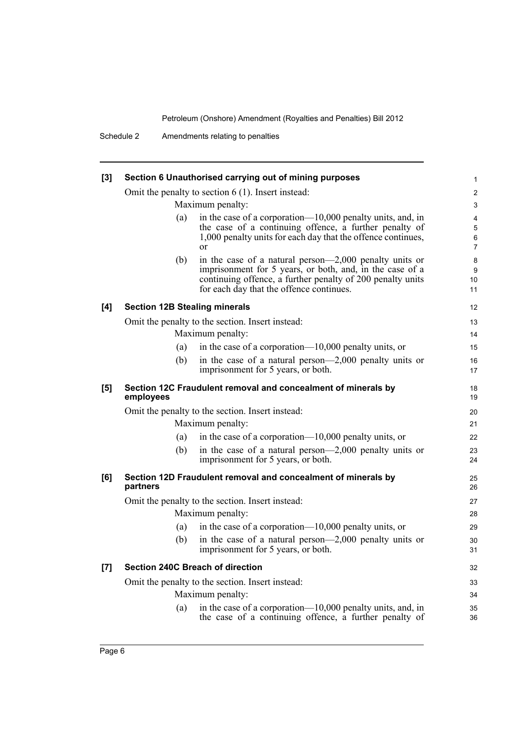| $[3]$ | Section 6 Unauthorised carrying out of mining purposes |                                                                                                                                                                                                                              |                               |  |  |
|-------|--------------------------------------------------------|------------------------------------------------------------------------------------------------------------------------------------------------------------------------------------------------------------------------------|-------------------------------|--|--|
|       |                                                        | Omit the penalty to section $6(1)$ . Insert instead:                                                                                                                                                                         |                               |  |  |
|       | Maximum penalty:                                       |                                                                                                                                                                                                                              |                               |  |  |
|       | (a)                                                    | in the case of a corporation—10,000 penalty units, and, in<br>the case of a continuing offence, a further penalty of<br>1,000 penalty units for each day that the offence continues,<br><sub>or</sub>                        | 4<br>5<br>6<br>$\overline{7}$ |  |  |
|       | (b)                                                    | in the case of a natural person-2,000 penalty units or<br>imprisonment for 5 years, or both, and, in the case of a<br>continuing offence, a further penalty of 200 penalty units<br>for each day that the offence continues. | 8<br>9<br>10<br>11            |  |  |
| [4]   | <b>Section 12B Stealing minerals</b>                   |                                                                                                                                                                                                                              | 12                            |  |  |
|       |                                                        | Omit the penalty to the section. Insert instead:                                                                                                                                                                             | 13                            |  |  |
|       |                                                        | Maximum penalty:                                                                                                                                                                                                             | 14                            |  |  |
|       | (a)                                                    | in the case of a corporation— $10,000$ penalty units, or                                                                                                                                                                     | 15                            |  |  |
|       | (b)                                                    | in the case of a natural person— $2,000$ penalty units or<br>imprisonment for 5 years, or both.                                                                                                                              | 16<br>17                      |  |  |
| [5]   | employees                                              | Section 12C Fraudulent removal and concealment of minerals by                                                                                                                                                                | 18<br>19                      |  |  |
|       |                                                        | Omit the penalty to the section. Insert instead:                                                                                                                                                                             | 20                            |  |  |
|       |                                                        | Maximum penalty:                                                                                                                                                                                                             | 21                            |  |  |
|       | (a)                                                    | in the case of a corporation— $10,000$ penalty units, or                                                                                                                                                                     | 22                            |  |  |
|       | (b)                                                    | in the case of a natural person— $2,000$ penalty units or<br>imprisonment for 5 years, or both.                                                                                                                              | 23<br>24                      |  |  |
| [6]   | partners                                               | Section 12D Fraudulent removal and concealment of minerals by                                                                                                                                                                | 25<br>26                      |  |  |
|       |                                                        | Omit the penalty to the section. Insert instead:                                                                                                                                                                             | 27                            |  |  |
|       |                                                        | Maximum penalty:                                                                                                                                                                                                             | 28                            |  |  |
|       | (a)                                                    | in the case of a corporation— $10,000$ penalty units, or                                                                                                                                                                     | 29                            |  |  |
|       | (b)                                                    | in the case of a natural person— $2,000$ penalty units or<br>imprisonment for 5 years, or both.                                                                                                                              | 30<br>31                      |  |  |
| $[7]$ |                                                        | <b>Section 240C Breach of direction</b>                                                                                                                                                                                      | 32                            |  |  |
|       |                                                        | Omit the penalty to the section. Insert instead:                                                                                                                                                                             | 33                            |  |  |
|       |                                                        | Maximum penalty:                                                                                                                                                                                                             | 34                            |  |  |
|       | (a)                                                    | in the case of a corporation—10,000 penalty units, and, in<br>the case of a continuing offence, a further penalty of                                                                                                         | 35                            |  |  |
|       |                                                        |                                                                                                                                                                                                                              | 36                            |  |  |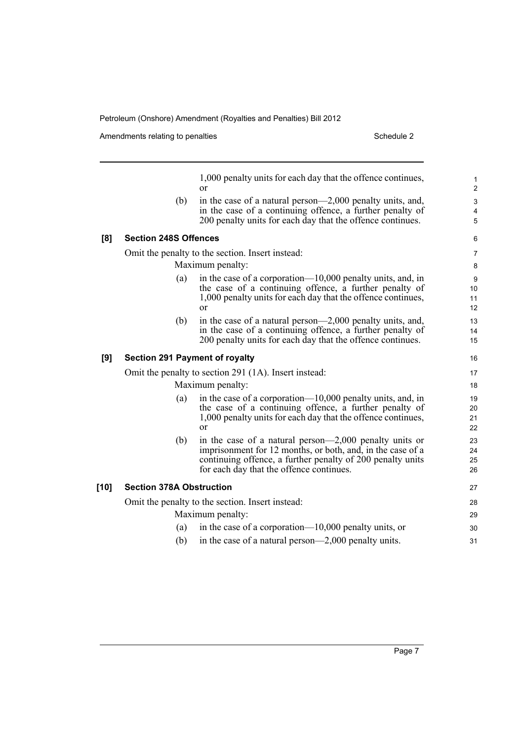|        | (b)                                   | 1,000 penalty units for each day that the offence continues,<br>$\alpha$<br>in the case of a natural person—2,000 penalty units, and,<br>in the case of a continuing offence, a further penalty of<br>200 penalty units for each day that the offence continues. | 1<br>$\overline{\mathbf{c}}$<br>3<br>4<br>5 |
|--------|---------------------------------------|------------------------------------------------------------------------------------------------------------------------------------------------------------------------------------------------------------------------------------------------------------------|---------------------------------------------|
| [8]    | <b>Section 248S Offences</b>          |                                                                                                                                                                                                                                                                  | 6                                           |
|        |                                       | Omit the penalty to the section. Insert instead:                                                                                                                                                                                                                 | 7                                           |
|        |                                       | Maximum penalty:                                                                                                                                                                                                                                                 | 8                                           |
|        | (a)                                   | in the case of a corporation—10,000 penalty units, and, in<br>the case of a continuing offence, a further penalty of<br>1,000 penalty units for each day that the offence continues,<br>or                                                                       | 9<br>10<br>11<br>12                         |
|        | (b)                                   | in the case of a natural person—2,000 penalty units, and,<br>in the case of a continuing offence, a further penalty of<br>200 penalty units for each day that the offence continues.                                                                             | 13<br>14<br>15                              |
| [9]    | <b>Section 291 Payment of royalty</b> |                                                                                                                                                                                                                                                                  | 16                                          |
|        |                                       | Omit the penalty to section 291 (1A). Insert instead:                                                                                                                                                                                                            | 17                                          |
|        |                                       | Maximum penalty:                                                                                                                                                                                                                                                 | 18                                          |
|        | (a)                                   | in the case of a corporation— $10,000$ penalty units, and, in<br>the case of a continuing offence, a further penalty of<br>1,000 penalty units for each day that the offence continues,<br><sub>or</sub>                                                         | 19<br>20<br>21<br>22                        |
|        | (b)                                   | in the case of a natural person— $2,000$ penalty units or<br>imprisonment for 12 months, or both, and, in the case of a<br>continuing offence, a further penalty of 200 penalty units<br>for each day that the offence continues.                                | 23<br>24<br>25<br>26                        |
| $[10]$ | <b>Section 378A Obstruction</b>       |                                                                                                                                                                                                                                                                  | 27                                          |
|        |                                       | Omit the penalty to the section. Insert instead:                                                                                                                                                                                                                 | 28                                          |
|        |                                       | Maximum penalty:                                                                                                                                                                                                                                                 | 29                                          |
|        | (a)                                   | in the case of a corporation— $10,000$ penalty units, or                                                                                                                                                                                                         | 30                                          |
|        | (b)                                   | in the case of a natural person—2,000 penalty units.                                                                                                                                                                                                             | 31                                          |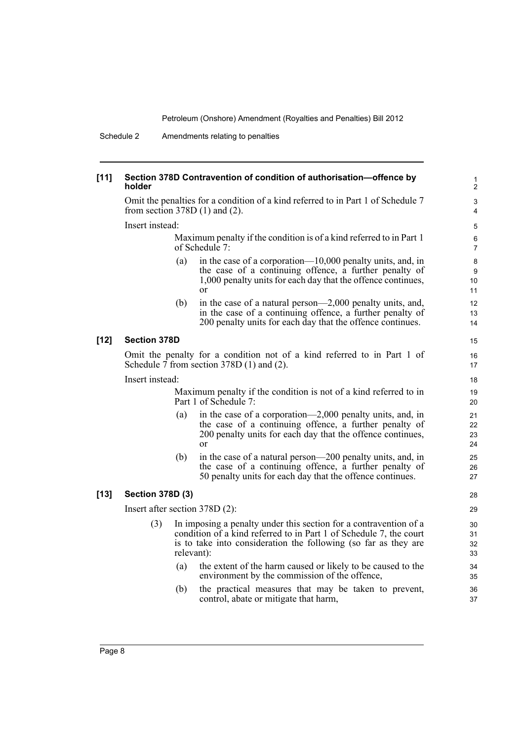#### **[11] Section 378D Contravention of condition of authorisation—offence by holder**

Omit the penalties for a condition of a kind referred to in Part 1 of Schedule 7 from section 378D (1) and (2).

Insert instead:

Maximum penalty if the condition is of a kind referred to in Part 1 of Schedule 7:

- (a) in the case of a corporation—10,000 penalty units, and, in the case of a continuing offence, a further penalty of 1,000 penalty units for each day that the offence continues, or
- (b) in the case of a natural person—2,000 penalty units, and, in the case of a continuing offence, a further penalty of 200 penalty units for each day that the offence continues.

#### **[12] Section 378D**

Omit the penalty for a condition not of a kind referred to in Part 1 of Schedule  $\bar{7}$  from section 378D (1) and (2).

Insert instead:

Maximum penalty if the condition is not of a kind referred to in Part 1 of Schedule 7:

- (a) in the case of a corporation—2,000 penalty units, and, in the case of a continuing offence, a further penalty of 200 penalty units for each day that the offence continues, or
- (b) in the case of a natural person—200 penalty units, and, in the case of a continuing offence, a further penalty of 50 penalty units for each day that the offence continues.

#### **[13] Section 378D (3)**

Insert after section 378D (2):

- (3) In imposing a penalty under this section for a contravention of a condition of a kind referred to in Part 1 of Schedule 7, the court is to take into consideration the following (so far as they are relevant):
	- (a) the extent of the harm caused or likely to be caused to the environment by the commission of the offence,
	- (b) the practical measures that may be taken to prevent, control, abate or mitigate that harm,

15

35 36 37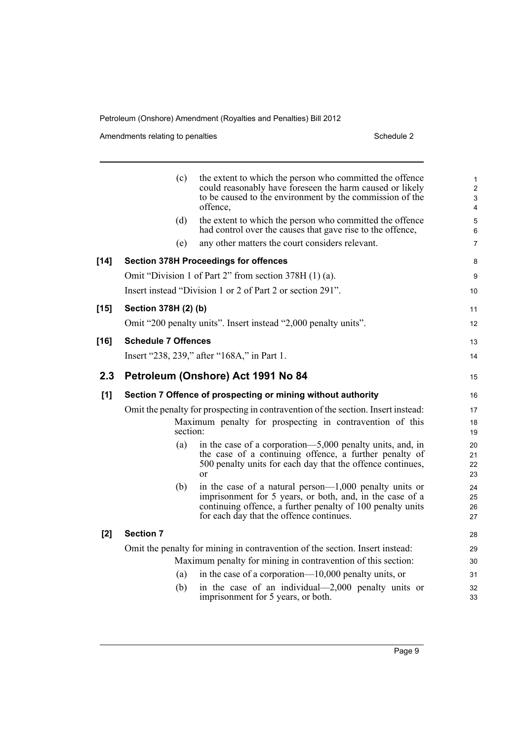|        | (c)                        | the extent to which the person who committed the offence<br>could reasonably have foreseen the harm caused or likely<br>to be caused to the environment by the commission of the<br>offence,                                    | $\mathbf{1}$<br>$\overline{c}$<br>3<br>4 |
|--------|----------------------------|---------------------------------------------------------------------------------------------------------------------------------------------------------------------------------------------------------------------------------|------------------------------------------|
|        | (d)                        | the extent to which the person who committed the offence<br>had control over the causes that gave rise to the offence,                                                                                                          | 5<br>6                                   |
|        | (e)                        | any other matters the court considers relevant.                                                                                                                                                                                 | 7                                        |
| $[14]$ |                            | <b>Section 378H Proceedings for offences</b>                                                                                                                                                                                    | 8                                        |
|        |                            | Omit "Division 1 of Part 2" from section 378H (1) (a).                                                                                                                                                                          | 9                                        |
|        |                            | Insert instead "Division 1 or 2 of Part 2 or section 291".                                                                                                                                                                      | 10                                       |
| $[15]$ | Section 378H (2) (b)       |                                                                                                                                                                                                                                 | 11                                       |
|        |                            | Omit "200 penalty units". Insert instead "2,000 penalty units".                                                                                                                                                                 | 12                                       |
| [16]   | <b>Schedule 7 Offences</b> |                                                                                                                                                                                                                                 | 13                                       |
|        |                            | Insert "238, 239," after "168A," in Part 1.                                                                                                                                                                                     | 14                                       |
| 2.3    |                            | Petroleum (Onshore) Act 1991 No 84                                                                                                                                                                                              | 15                                       |
| [1]    |                            | Section 7 Offence of prospecting or mining without authority                                                                                                                                                                    | 16                                       |
|        |                            | Omit the penalty for prospecting in contravention of the section. Insert instead:                                                                                                                                               | 17                                       |
|        |                            | Maximum penalty for prospecting in contravention of this<br>section:                                                                                                                                                            | 18<br>19                                 |
|        | (a)                        | in the case of a corporation—5,000 penalty units, and, in<br>the case of a continuing offence, a further penalty of<br>500 penalty units for each day that the offence continues,<br>$\alpha$ r                                 | 20<br>21<br>22<br>23                     |
|        | (b)                        | in the case of a natural person— $1,000$ penalty units or<br>imprisonment for 5 years, or both, and, in the case of a<br>continuing offence, a further penalty of 100 penalty units<br>for each day that the offence continues. | 24<br>25<br>26<br>27                     |
| $[2]$  | <b>Section 7</b>           |                                                                                                                                                                                                                                 | 28                                       |
|        |                            | Omit the penalty for mining in contravention of the section. Insert instead:                                                                                                                                                    | 29                                       |
|        |                            | Maximum penalty for mining in contravention of this section:                                                                                                                                                                    | 30                                       |
|        | (a)                        | in the case of a corporation— $10,000$ penalty units, or                                                                                                                                                                        | 31                                       |
|        | (b)                        | in the case of an individual— $2,000$ penalty units or<br>imprisonment for 5 years, or both.                                                                                                                                    | 32<br>33                                 |
|        |                            |                                                                                                                                                                                                                                 |                                          |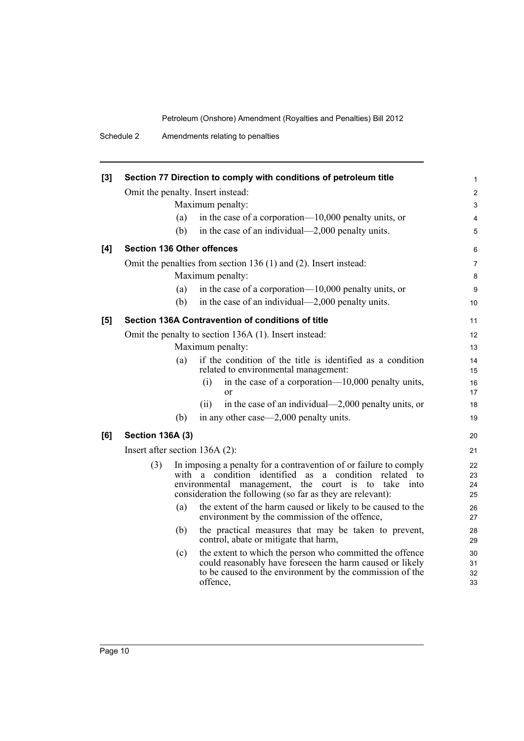| [3] |                                   |     | Section 77 Direction to comply with conditions of petroleum title                                                                                                                                                                                                       | $\mathbf{1}$         |  |  |
|-----|-----------------------------------|-----|-------------------------------------------------------------------------------------------------------------------------------------------------------------------------------------------------------------------------------------------------------------------------|----------------------|--|--|
|     | Omit the penalty. Insert instead: |     |                                                                                                                                                                                                                                                                         |                      |  |  |
|     |                                   |     | Maximum penalty:                                                                                                                                                                                                                                                        | $\mathfrak{S}$       |  |  |
|     |                                   | (a) | in the case of a corporation— $10,000$ penalty units, or                                                                                                                                                                                                                | $\overline{4}$       |  |  |
|     |                                   | (b) | in the case of an individual—2,000 penalty units.                                                                                                                                                                                                                       | 5                    |  |  |
| [4] | <b>Section 136 Other offences</b> |     |                                                                                                                                                                                                                                                                         | 6                    |  |  |
|     |                                   |     | Omit the penalties from section 136 (1) and (2). Insert instead:                                                                                                                                                                                                        | $\overline{7}$       |  |  |
|     |                                   |     | Maximum penalty:                                                                                                                                                                                                                                                        | 8                    |  |  |
|     |                                   | (a) | in the case of a corporation— $10,000$ penalty units, or                                                                                                                                                                                                                | 9                    |  |  |
|     |                                   | (b) | in the case of an individual—2,000 penalty units.                                                                                                                                                                                                                       | 10                   |  |  |
| [5] |                                   |     | Section 136A Contravention of conditions of title                                                                                                                                                                                                                       | 11                   |  |  |
|     |                                   |     | Omit the penalty to section 136A (1). Insert instead:                                                                                                                                                                                                                   | 12                   |  |  |
|     |                                   |     | Maximum penalty:                                                                                                                                                                                                                                                        | 13                   |  |  |
|     |                                   | (a) | if the condition of the title is identified as a condition<br>related to environmental management:                                                                                                                                                                      | 14<br>15             |  |  |
|     |                                   |     | in the case of a corporation— $10,000$ penalty units,<br>(i)<br>$\alpha$                                                                                                                                                                                                | 16<br>17             |  |  |
|     |                                   |     | in the case of an individual—2,000 penalty units, or<br>(ii)                                                                                                                                                                                                            | 18                   |  |  |
|     |                                   | (b) | in any other case—2,000 penalty units.                                                                                                                                                                                                                                  | 19                   |  |  |
| [6] | <b>Section 136A (3)</b>           |     |                                                                                                                                                                                                                                                                         | 20                   |  |  |
|     | Insert after section $136A(2)$ :  |     |                                                                                                                                                                                                                                                                         | 21                   |  |  |
|     | (3)                               |     | In imposing a penalty for a contravention of or failure to comply<br>with a condition identified<br>as<br>condition<br>related<br>a<br>to<br>environmental management, the court<br>is<br>to<br>take into<br>consideration the following (so far as they are relevant): | 22<br>23<br>24<br>25 |  |  |
|     |                                   | (a) | the extent of the harm caused or likely to be caused to the<br>environment by the commission of the offence,                                                                                                                                                            | 26<br>27             |  |  |
|     |                                   | (b) | the practical measures that may be taken to prevent,<br>control, abate or mitigate that harm,                                                                                                                                                                           | 28<br>29             |  |  |
|     |                                   | (c) | the extent to which the person who committed the offence<br>could reasonably have foreseen the harm caused or likely<br>to be caused to the environment by the commission of the<br>offence,                                                                            | 30<br>31<br>32<br>33 |  |  |